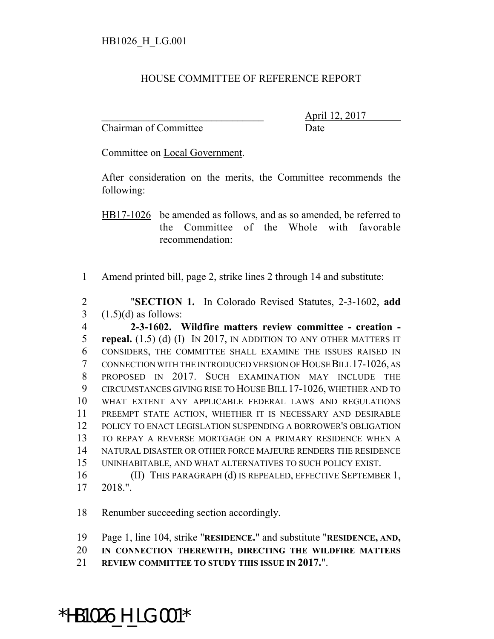## HOUSE COMMITTEE OF REFERENCE REPORT

Chairman of Committee Date

\_\_\_\_\_\_\_\_\_\_\_\_\_\_\_\_\_\_\_\_\_\_\_\_\_\_\_\_\_\_\_ April 12, 2017

Committee on Local Government.

After consideration on the merits, the Committee recommends the following:

HB17-1026 be amended as follows, and as so amended, be referred to the Committee of the Whole with favorable recommendation:

Amend printed bill, page 2, strike lines 2 through 14 and substitute:

 "**SECTION 1.** In Colorado Revised Statutes, 2-3-1602, **add**  $3 \quad (1.5)(d)$  as follows:

 **2-3-1602. Wildfire matters review committee - creation - repeal.** (1.5) (d) (I) IN 2017, IN ADDITION TO ANY OTHER MATTERS IT CONSIDERS, THE COMMITTEE SHALL EXAMINE THE ISSUES RAISED IN CONNECTION WITH THE INTRODUCED VERSION OF HOUSE BILL 17-1026, AS PROPOSED IN 2017. SUCH EXAMINATION MAY INCLUDE THE CIRCUMSTANCES GIVING RISE TO HOUSE BILL 17-1026, WHETHER AND TO WHAT EXTENT ANY APPLICABLE FEDERAL LAWS AND REGULATIONS PREEMPT STATE ACTION, WHETHER IT IS NECESSARY AND DESIRABLE POLICY TO ENACT LEGISLATION SUSPENDING A BORROWER'S OBLIGATION TO REPAY A REVERSE MORTGAGE ON A PRIMARY RESIDENCE WHEN A NATURAL DISASTER OR OTHER FORCE MAJEURE RENDERS THE RESIDENCE UNINHABITABLE, AND WHAT ALTERNATIVES TO SUCH POLICY EXIST. (II) THIS PARAGRAPH (d) IS REPEALED, EFFECTIVE SEPTEMBER 1,

2018.".

Renumber succeeding section accordingly.

Page 1, line 104, strike "**RESIDENCE.**" and substitute "**RESIDENCE, AND,**

**IN CONNECTION THEREWITH, DIRECTING THE WILDFIRE MATTERS**

**REVIEW COMMITTEE TO STUDY THIS ISSUE IN 2017.**".

## \*HB1026\_H\_LG.001\*